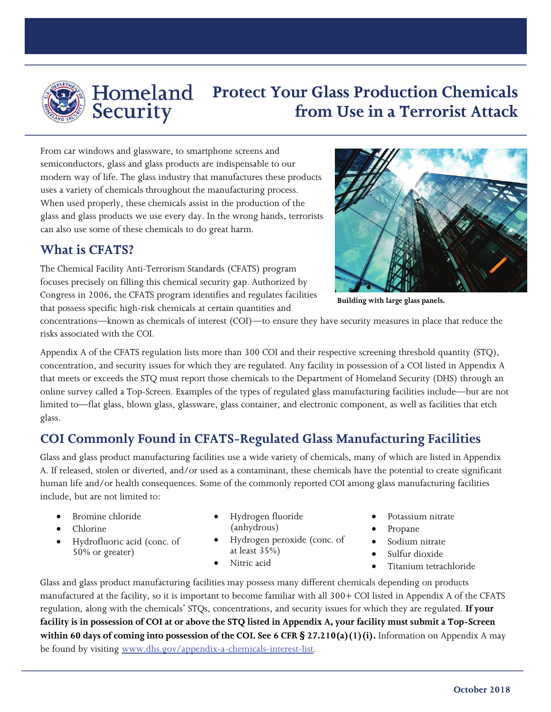

# Security

# **Protect Your Glass Production Chemicals from Use in a Terrorist Attack**

From car windows and glassware, to smartphone screens and semiconductors, glass and glass products are indispensable to our modern way of life. The glass industry that manufactures these products uses a variety of chemicals throughout the manufacturing process. When used properly, these chemicals assist in the production of the glass and glass products we use every day. In the wrong hands, terrorists can also use some of these chemicals to do great harm.

#### **What is CFATS?**

The Chemical Facility Anti-Terrorism Standards (CFATS) program focuses precisely on filling this chemical security gap. Authorized by Congress in 2006, the CFATS program identifies and regulates facilities that possess specific high-risk chemicals at certain quantities and



**Building with large glass panels.**

concentrations—known as chemicals of interest (COI)—to ensure they have security measures in place that reduce the risks associated with the COI.

Appendix A of the CFATS regulation lists more than 300 COI and their respective screening threshold quantity (STQ), concentration, and security issues for which they are regulated. Any facility in possession of a COI listed in Appendix A that meets or exceeds the STQ must report those chemicals to the Department of Homeland Security (DHS) through an online survey called a Top-Screen. Examples of the types of regulated glass manufacturing facilities include—but are not limited to—flat glass, blown glass, glassware, glass container, and electronic component, as well as facilities that etch glass.

# **COI Commonly Found in CFATS-Regulated Glass Manufacturing Facilities**

Glass and glass product manufacturing facilities use a wide variety of chemicals, many of which are listed in Appendix A. If released, stolen or diverted, and/or used as a contaminant, these chemicals have the potential to create significant human life and/or health consequences. Some of the commonly reported COI among glass manufacturing facilities include, but are not limited to:

- Bromine chloride
- Chlorine
- Hydrofluoric acid (conc. of 50% or greater)
- Hydrogen fluoride (anhydrous)
- Hydrogen peroxide (conc. of at least 35%)
- Nitric acid
- Potassium nitrate
- Propane
- Sodium nitrate
- Sulfur dioxide
- Titanium tetrachloride

Glass and glass product manufacturing facilities may possess many different chemicals depending on products manufactured at the facility, so it is important to become familiar with all 300+ COI listed in Appendix A of the CFATS regulation, along with the chemicals' STQs, concentrations, and security issues for which they are regulated. **If your facility is in possession of COI at or above the STQ listed in Appendix A, your facility must submit a Top-Screen within 60 days of coming into possession of the COI. See 6 CFR § 27.210(a)(1)(i).** Information on Appendix A may be found by visiting [www.dhs.gov/appendix-a-chemicals-interest-list.](http://www.dhs.gov/appendix-a-chemicals-interest-list)